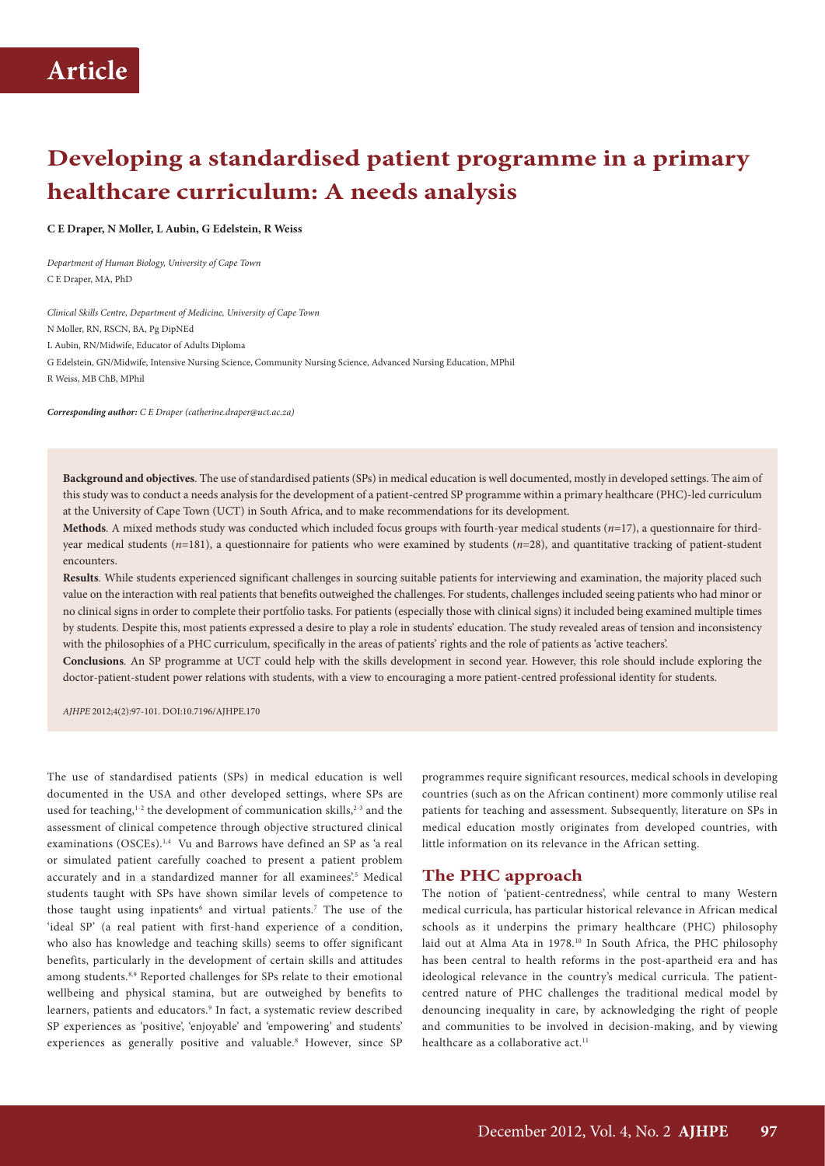# **Developing a standardised patient programme in a primary healthcare curriculum: A needs analysis**

**C E Draper, N Moller, L Aubin, G Edelstein, R Weiss**

*Department of Human Biology, University of Cape Town*  C E Draper, MA, PhD

*Clinical Skills Centre, Department of Medicine, University of Cape Town* N Moller, RN, RSCN, BA, Pg DipNEd L Aubin, RN/Midwife, Educator of Adults Diploma G Edelstein, GN/Midwife, Intensive Nursing Science, Community Nursing Science, Advanced Nursing Education, MPhil R Weiss, MB ChB, MPhil

*Corresponding author: C E Draper (catherine.draper@uct.ac.za)*

**Background and objectives***.* The use of standardised patients (SPs) in medical education is well documented, mostly in developed settings. The aim of this study was to conduct a needs analysis for the development of a patient-centred SP programme within a primary healthcare (PHC)-led curriculum at the University of Cape Town (UCT) in South Africa, and to make recommendations for its development.

**Methods***.* A mixed methods study was conducted which included focus groups with fourth-year medical students (*n*=17), a questionnaire for thirdyear medical students (*n*=181), a questionnaire for patients who were examined by students (*n*=28), and quantitative tracking of patient-student encounters.

**Results***.* While students experienced significant challenges in sourcing suitable patients for interviewing and examination, the majority placed such value on the interaction with real patients that benefits outweighed the challenges. For students, challenges included seeing patients who had minor or no clinical signs in order to complete their portfolio tasks. For patients (especially those with clinical signs) it included being examined multiple times by students. Despite this, most patients expressed a desire to play a role in students' education. The study revealed areas of tension and inconsistency with the philosophies of a PHC curriculum, specifically in the areas of patients' rights and the role of patients as 'active teachers'.

**Conclusions***.* An SP programme at UCT could help with the skills development in second year. However, this role should include exploring the doctor-patient-student power relations with students, with a view to encouraging a more patient-centred professional identity for students.

*AJHPE* 2012;4(2):97-101. DOI:10.7196/AJHPE.170

The use of standardised patients (SPs) in medical education is well documented in the USA and other developed settings, where SPs are used for teaching,<sup>1-2</sup> the development of communication skills,<sup>2-3</sup> and the assessment of clinical competence through objective structured clinical examinations (OSCEs).<sup>1,4</sup> Vu and Barrows have defined an SP as 'a real or simulated patient carefully coached to present a patient problem accurately and in a standardized manner for all examinees'.<sup>5</sup> Medical students taught with SPs have shown similar levels of competence to those taught using inpatients<sup>6</sup> and virtual patients.<sup>7</sup> The use of the 'ideal SP' (a real patient with first-hand experience of a condition, who also has knowledge and teaching skills) seems to offer significant benefits, particularly in the development of certain skills and attitudes among students.<sup>8,9</sup> Reported challenges for SPs relate to their emotional wellbeing and physical stamina, but are outweighed by benefits to learners, patients and educators.9 In fact, a systematic review described SP experiences as 'positive', 'enjoyable' and 'empowering' and students' experiences as generally positive and valuable.<sup>8</sup> However, since SP

programmes require significant resources, medical schools in developing countries (such as on the African continent) more commonly utilise real patients for teaching and assessment. Subsequently, literature on SPs in medical education mostly originates from developed countries, with little information on its relevance in the African setting.

## **The PHC approach**

The notion of 'patient-centredness', while central to many Western medical curricula, has particular historical relevance in African medical schools as it underpins the primary healthcare (PHC) philosophy laid out at Alma Ata in 1978.<sup>10</sup> In South Africa, the PHC philosophy has been central to health reforms in the post-apartheid era and has ideological relevance in the country's medical curricula. The patientcentred nature of PHC challenges the traditional medical model by denouncing inequality in care, by acknowledging the right of people and communities to be involved in decision-making, and by viewing healthcare as a collaborative act. $11$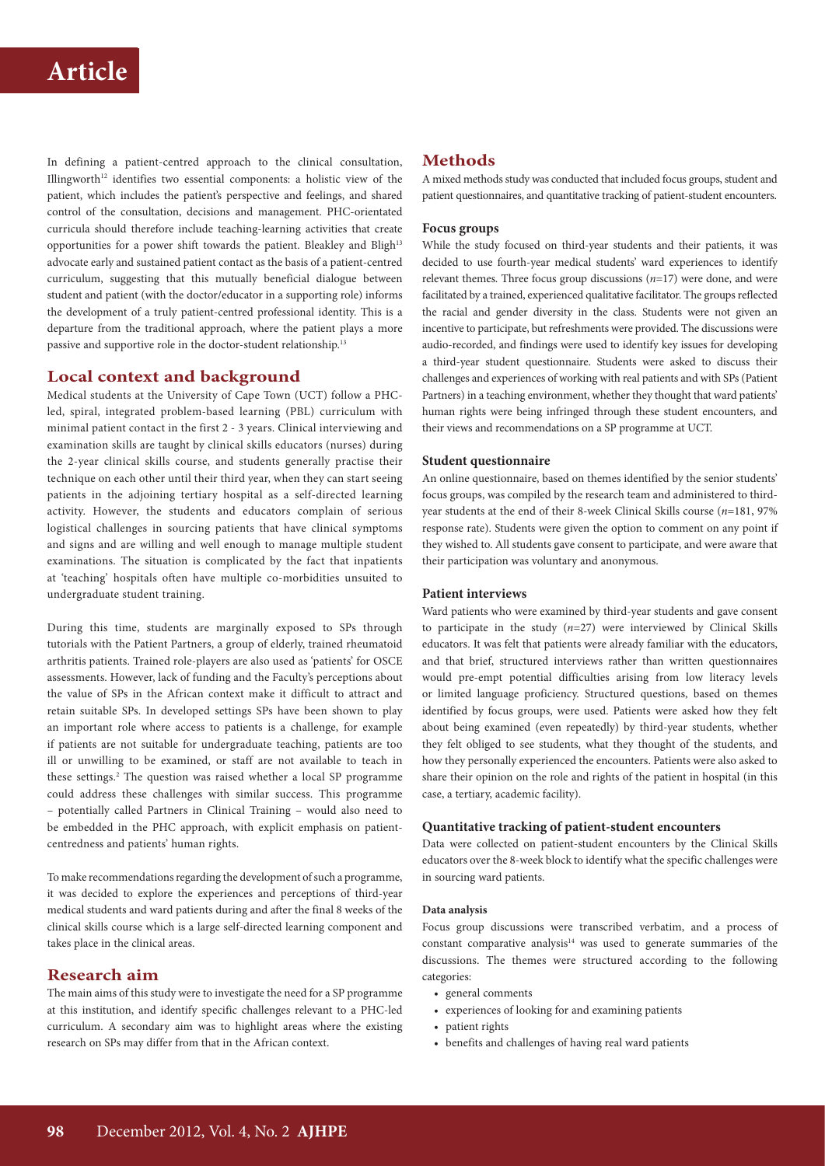# **Article**

In defining a patient-centred approach to the clinical consultation, Illingworth $12$  identifies two essential components: a holistic view of the patient, which includes the patient's perspective and feelings, and shared control of the consultation, decisions and management. PHC-orientated curricula should therefore include teaching-learning activities that create opportunities for a power shift towards the patient. Bleakley and Bligh<sup>13</sup> advocate early and sustained patient contact as the basis of a patient-centred curriculum, suggesting that this mutually beneficial dialogue between student and patient (with the doctor/educator in a supporting role) informs the development of a truly patient-centred professional identity. This is a departure from the traditional approach, where the patient plays a more passive and supportive role in the doctor-student relationship.13

# **Local context and background**

Medical students at the University of Cape Town (UCT) follow a PHCled, spiral, integrated problem-based learning (PBL) curriculum with minimal patient contact in the first 2 - 3 years. Clinical interviewing and examination skills are taught by clinical skills educators (nurses) during the 2-year clinical skills course, and students generally practise their technique on each other until their third year, when they can start seeing patients in the adjoining tertiary hospital as a self-directed learning activity. However, the students and educators complain of serious logistical challenges in sourcing patients that have clinical symptoms and signs and are willing and well enough to manage multiple student examinations. The situation is complicated by the fact that inpatients at 'teaching' hospitals often have multiple co-morbidities unsuited to undergraduate student training.

During this time, students are marginally exposed to SPs through tutorials with the Patient Partners, a group of elderly, trained rheumatoid arthritis patients. Trained role-players are also used as 'patients' for OSCE assessments. However, lack of funding and the Faculty's perceptions about the value of SPs in the African context make it difficult to attract and retain suitable SPs. In developed settings SPs have been shown to play an important role where access to patients is a challenge, for example if patients are not suitable for undergraduate teaching, patients are too ill or unwilling to be examined, or staff are not available to teach in these settings.<sup>2</sup> The question was raised whether a local SP programme could address these challenges with similar success. This programme – potentially called Partners in Clinical Training – would also need to be embedded in the PHC approach, with explicit emphasis on patientcentredness and patients' human rights.

To make recommendations regarding the development of such a programme, it was decided to explore the experiences and perceptions of third-year medical students and ward patients during and after the final 8 weeks of the clinical skills course which is a large self-directed learning component and takes place in the clinical areas.

# **Research aim**

The main aims of this study were to investigate the need for a SP programme at this institution, and identify specific challenges relevant to a PHC-led curriculum. A secondary aim was to highlight areas where the existing research on SPs may differ from that in the African context.

# **Methods**

A mixed methods study was conducted that included focus groups, student and patient questionnaires, and quantitative tracking of patient-student encounters.

## **Focus groups**

While the study focused on third-year students and their patients, it was decided to use fourth-year medical students' ward experiences to identify relevant themes. Three focus group discussions (*n*=17) were done, and were facilitated by a trained, experienced qualitative facilitator. The groups reflected the racial and gender diversity in the class. Students were not given an incentive to participate, but refreshments were provided. The discussions were audio-recorded, and findings were used to identify key issues for developing a third-year student questionnaire. Students were asked to discuss their challenges and experiences of working with real patients and with SPs (Patient Partners) in a teaching environment, whether they thought that ward patients' human rights were being infringed through these student encounters, and their views and recommendations on a SP programme at UCT.

## **Student questionnaire**

An online questionnaire, based on themes identified by the senior students' focus groups, was compiled by the research team and administered to thirdyear students at the end of their 8-week Clinical Skills course (*n*=181, 97% response rate). Students were given the option to comment on any point if they wished to. All students gave consent to participate, and were aware that their participation was voluntary and anonymous.

## **Patient interviews**

Ward patients who were examined by third-year students and gave consent to participate in the study  $(n=27)$  were interviewed by Clinical Skills educators. It was felt that patients were already familiar with the educators, and that brief, structured interviews rather than written questionnaires would pre-empt potential difficulties arising from low literacy levels or limited language proficiency. Structured questions, based on themes identified by focus groups, were used. Patients were asked how they felt about being examined (even repeatedly) by third-year students, whether they felt obliged to see students, what they thought of the students, and how they personally experienced the encounters. Patients were also asked to share their opinion on the role and rights of the patient in hospital (in this case, a tertiary, academic facility).

## **Quantitative tracking of patient-student encounters**

Data were collected on patient-student encounters by the Clinical Skills educators over the 8-week block to identify what the specific challenges were in sourcing ward patients.

#### **Data analysis**

Focus group discussions were transcribed verbatim, and a process of constant comparative analysis $14$  was used to generate summaries of the discussions. The themes were structured according to the following categories:

- general comments
- experiences of looking for and examining patients
- patient rights
- benefits and challenges of having real ward patients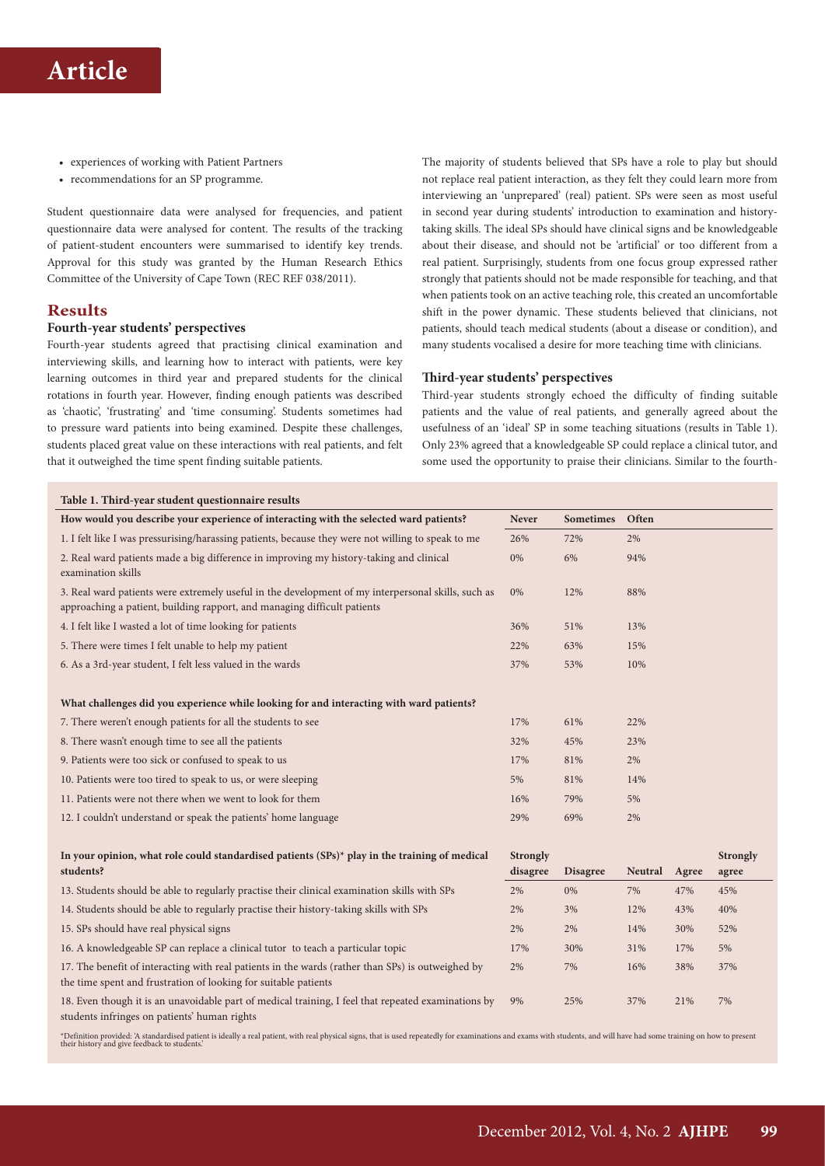- experiences of working with Patient Partners
- recommendations for an SP programme.

Student questionnaire data were analysed for frequencies, and patient questionnaire data were analysed for content. The results of the tracking of patient-student encounters were summarised to identify key trends. Approval for this study was granted by the Human Research Ethics Committee of the University of Cape Town (REC REF 038/2011).

## **Results**

## **Fourth-year students' perspectives**

Fourth-year students agreed that practising clinical examination and interviewing skills, and learning how to interact with patients, were key learning outcomes in third year and prepared students for the clinical rotations in fourth year. However, finding enough patients was described as 'chaotic', 'frustrating' and 'time consuming'. Students sometimes had to pressure ward patients into being examined. Despite these challenges, students placed great value on these interactions with real patients, and felt that it outweighed the time spent finding suitable patients.

The majority of students believed that SPs have a role to play but should not replace real patient interaction, as they felt they could learn more from interviewing an 'unprepared' (real) patient. SPs were seen as most useful in second year during students' introduction to examination and historytaking skills. The ideal SPs should have clinical signs and be knowledgeable about their disease, and should not be 'artificial' or too different from a real patient. Surprisingly, students from one focus group expressed rather strongly that patients should not be made responsible for teaching, and that when patients took on an active teaching role, this created an uncomfortable shift in the power dynamic. These students believed that clinicians, not patients, should teach medical students (about a disease or condition), and many students vocalised a desire for more teaching time with clinicians.

## **Third-year students' perspectives**

Third-year students strongly echoed the difficulty of finding suitable patients and the value of real patients, and generally agreed about the usefulness of an 'ideal' SP in some teaching situations (results in Table 1). Only 23% agreed that a knowledgeable SP could replace a clinical tutor, and some used the opportunity to praise their clinicians. Similar to the fourth-

| Table 1. Third-year student questionnaire results                                                                                                                              |                 |                  |         |       |                 |
|--------------------------------------------------------------------------------------------------------------------------------------------------------------------------------|-----------------|------------------|---------|-------|-----------------|
| How would you describe your experience of interacting with the selected ward patients?                                                                                         | <b>Never</b>    | <b>Sometimes</b> | Often   |       |                 |
| 1. I felt like I was pressurising/harassing patients, because they were not willing to speak to me                                                                             | 26%             | 72%              | 2%      |       |                 |
| 2. Real ward patients made a big difference in improving my history-taking and clinical<br>examination skills                                                                  | 0%              | 6%               | 94%     |       |                 |
| 3. Real ward patients were extremely useful in the development of my interpersonal skills, such as<br>approaching a patient, building rapport, and managing difficult patients | 0%              | 12%              | 88%     |       |                 |
| 4. I felt like I wasted a lot of time looking for patients                                                                                                                     | 36%             | 51%              | 13%     |       |                 |
| 5. There were times I felt unable to help my patient                                                                                                                           | 22%             | 63%              | 15%     |       |                 |
| 6. As a 3rd-year student, I felt less valued in the wards                                                                                                                      | 37%             | 53%              | 10%     |       |                 |
| What challenges did you experience while looking for and interacting with ward patients?                                                                                       |                 |                  |         |       |                 |
| 7. There weren't enough patients for all the students to see                                                                                                                   | 17%             | 61%              | 22%     |       |                 |
| 8. There wasn't enough time to see all the patients                                                                                                                            | 32%             | 45%              | 23%     |       |                 |
| 9. Patients were too sick or confused to speak to us                                                                                                                           | 17%             | 81%              | 2%      |       |                 |
| 10. Patients were too tired to speak to us, or were sleeping                                                                                                                   | 5%              | 81%              | 14%     |       |                 |
| 11. Patients were not there when we went to look for them                                                                                                                      | 16%             | 79%              | 5%      |       |                 |
| 12. I couldn't understand or speak the patients' home language                                                                                                                 | 29%             | 69%              | 2%      |       |                 |
| In your opinion, what role could standardised patients $(SPs)^*$ play in the training of medical<br>students?                                                                  | <b>Strongly</b> |                  |         |       | <b>Strongly</b> |
|                                                                                                                                                                                | disagree        | <b>Disagree</b>  | Neutral | Agree | agree           |
| 13. Students should be able to regularly practise their clinical examination skills with SPs                                                                                   | 2%              | 0%               | 7%      | 47%   | 45%             |
| 14. Students should be able to regularly practise their history-taking skills with SPs                                                                                         | 2%              | 3%               | 12%     | 43%   | 40%             |

15. SPs should have real physical signs 2% 2% 14% 30% 52% 16. A knowledgeable SP can replace a clinical tutor to teach a particular topic 17% 30% 31% 17% 5% 17. The benefit of interacting with real patients in the wards (rather than SPs) is outweighed by the time spent and frustration of looking for suitable patients 2% 7% 16% 38% 37% 18. Even though it is an unavoidable part of medical training, I feel that repeated examinations by students infringes on patients' human rights 9% 25% 37% 21% 7%

\*Definition provided: 'A standardised patient is ideally a real patient, with real physical signs, that is used repeatedly for examinations and exams with students, and will have had some training on how to present<br>their h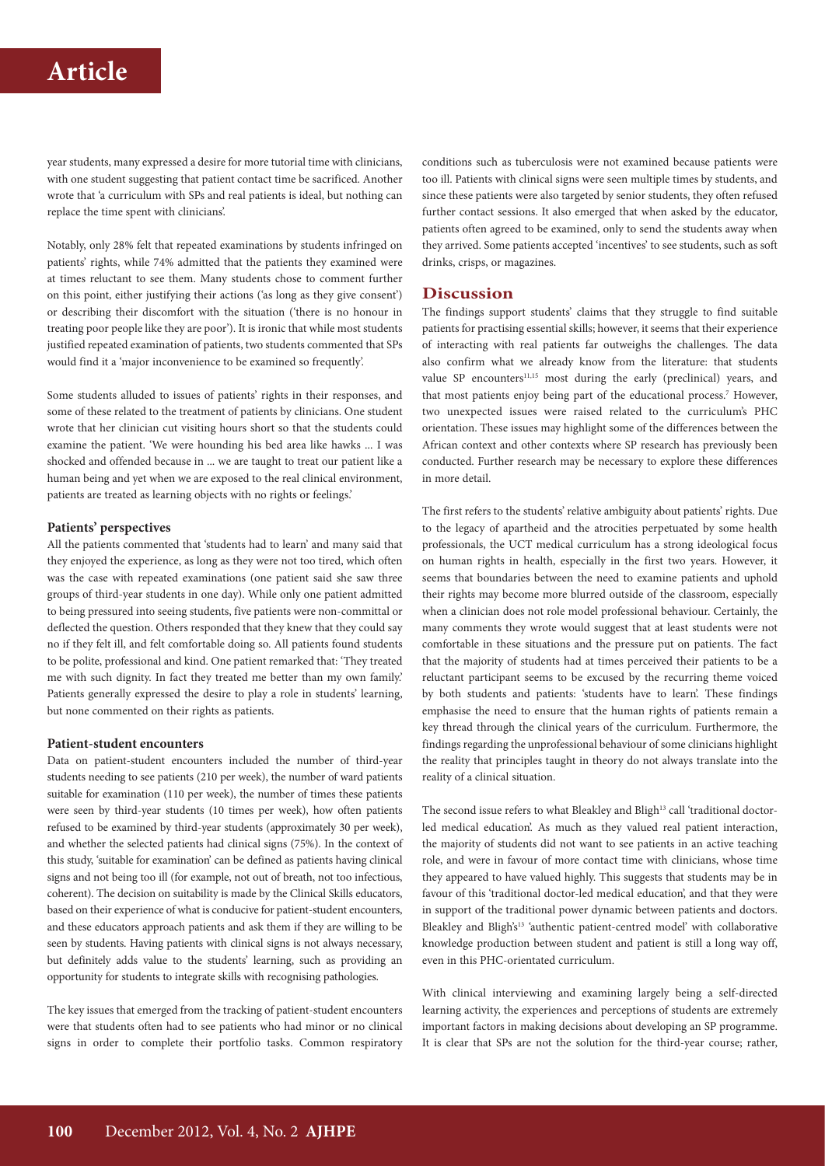year students, many expressed a desire for more tutorial time with clinicians, with one student suggesting that patient contact time be sacrificed. Another wrote that 'a curriculum with SPs and real patients is ideal, but nothing can replace the time spent with clinicians'.

Notably, only 28% felt that repeated examinations by students infringed on patients' rights, while 74% admitted that the patients they examined were at times reluctant to see them. Many students chose to comment further on this point, either justifying their actions ('as long as they give consent') or describing their discomfort with the situation ('there is no honour in treating poor people like they are poor'). It is ironic that while most students justified repeated examination of patients, two students commented that SPs would find it a 'major inconvenience to be examined so frequently'.

Some students alluded to issues of patients' rights in their responses, and some of these related to the treatment of patients by clinicians. One student wrote that her clinician cut visiting hours short so that the students could examine the patient. 'We were hounding his bed area like hawks ... I was shocked and offended because in ... we are taught to treat our patient like a human being and yet when we are exposed to the real clinical environment, patients are treated as learning objects with no rights or feelings.'

#### **Patients' perspectives**

All the patients commented that 'students had to learn' and many said that they enjoyed the experience, as long as they were not too tired, which often was the case with repeated examinations (one patient said she saw three groups of third-year students in one day). While only one patient admitted to being pressured into seeing students, five patients were non-committal or deflected the question. Others responded that they knew that they could say no if they felt ill, and felt comfortable doing so. All patients found students to be polite, professional and kind. One patient remarked that: 'They treated me with such dignity. In fact they treated me better than my own family.' Patients generally expressed the desire to play a role in students' learning, but none commented on their rights as patients.

#### **Patient-student encounters**

Data on patient-student encounters included the number of third-year students needing to see patients (210 per week), the number of ward patients suitable for examination (110 per week), the number of times these patients were seen by third-year students (10 times per week), how often patients refused to be examined by third-year students (approximately 30 per week), and whether the selected patients had clinical signs (75%). In the context of this study, 'suitable for examination' can be defined as patients having clinical signs and not being too ill (for example, not out of breath, not too infectious, coherent). The decision on suitability is made by the Clinical Skills educators, based on their experience of what is conducive for patient-student encounters, and these educators approach patients and ask them if they are willing to be seen by students. Having patients with clinical signs is not always necessary, but definitely adds value to the students' learning, such as providing an opportunity for students to integrate skills with recognising pathologies.

The key issues that emerged from the tracking of patient-student encounters were that students often had to see patients who had minor or no clinical signs in order to complete their portfolio tasks. Common respiratory conditions such as tuberculosis were not examined because patients were too ill. Patients with clinical signs were seen multiple times by students, and since these patients were also targeted by senior students, they often refused further contact sessions. It also emerged that when asked by the educator, patients often agreed to be examined, only to send the students away when they arrived. Some patients accepted 'incentives' to see students, such as soft drinks, crisps, or magazines.

## **Discussion**

The findings support students' claims that they struggle to find suitable patients for practising essential skills; however, it seems that their experience of interacting with real patients far outweighs the challenges. The data also confirm what we already know from the literature: that students value SP encounters<sup>11,15</sup> most during the early (preclinical) years, and that most patients enjoy being part of the educational process.<sup>7</sup> However, two unexpected issues were raised related to the curriculum's PHC orientation. These issues may highlight some of the differences between the African context and other contexts where SP research has previously been conducted. Further research may be necessary to explore these differences in more detail.

The first refers to the students' relative ambiguity about patients' rights. Due to the legacy of apartheid and the atrocities perpetuated by some health professionals, the UCT medical curriculum has a strong ideological focus on human rights in health, especially in the first two years. However, it seems that boundaries between the need to examine patients and uphold their rights may become more blurred outside of the classroom, especially when a clinician does not role model professional behaviour. Certainly, the many comments they wrote would suggest that at least students were not comfortable in these situations and the pressure put on patients. The fact that the majority of students had at times perceived their patients to be a reluctant participant seems to be excused by the recurring theme voiced by both students and patients: 'students have to learn'. These findings emphasise the need to ensure that the human rights of patients remain a key thread through the clinical years of the curriculum. Furthermore, the findings regarding the unprofessional behaviour of some clinicians highlight the reality that principles taught in theory do not always translate into the reality of a clinical situation.

The second issue refers to what Bleakley and Bligh<sup>13</sup> call 'traditional doctorled medical education'. As much as they valued real patient interaction, the majority of students did not want to see patients in an active teaching role, and were in favour of more contact time with clinicians, whose time they appeared to have valued highly. This suggests that students may be in favour of this 'traditional doctor-led medical education', and that they were in support of the traditional power dynamic between patients and doctors. Bleakley and Bligh's<sup>13</sup> 'authentic patient-centred model' with collaborative knowledge production between student and patient is still a long way off, even in this PHC-orientated curriculum.

With clinical interviewing and examining largely being a self-directed learning activity, the experiences and perceptions of students are extremely important factors in making decisions about developing an SP programme. It is clear that SPs are not the solution for the third-year course; rather,